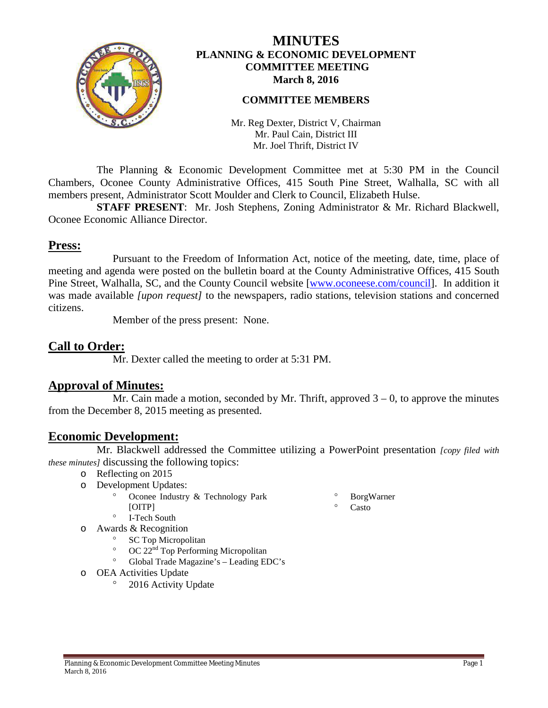

# **MINUTES PLANNING & ECONOMIC DEVELOPMENT COMMITTEE MEETING March 8, 2016**

## **COMMITTEE MEMBERS**

Mr. Reg Dexter, District V, Chairman Mr. Paul Cain, District III Mr. Joel Thrift, District IV

The Planning & Economic Development Committee met at 5:30 PM in the Council Chambers, Oconee County Administrative Offices, 415 South Pine Street, Walhalla, SC with all members present, Administrator Scott Moulder and Clerk to Council, Elizabeth Hulse.

**STAFF PRESENT**: Mr. Josh Stephens, Zoning Administrator & Mr. Richard Blackwell, Oconee Economic Alliance Director.

# **Press:**

Pursuant to the Freedom of Information Act, notice of the meeting, date, time, place of meeting and agenda were posted on the bulletin board at the County Administrative Offices, 415 South Pine Street, Walhalla, SC, and the County Council website [\[www.oconeese.com/council\]](http://www.oconeese.com/council). In addition it was made available *[upon request]* to the newspapers, radio stations, television stations and concerned citizens.

Member of the press present: None.

**Call to Order:** Mr. Dexter called the meeting to order at 5:31 PM.

# **Approval of Minutes:**

Mr. Cain made a motion, seconded by Mr. Thrift, approved  $3 - 0$ , to approve the minutes from the December 8, 2015 meeting as presented.

## **Economic Development:**

Mr. Blackwell addressed the Committee utilizing a PowerPoint presentation *[copy filed with these minutes]* discussing the following topics:

- o Reflecting on 2015
- o Development Updates:
	- Oconee Industry & Technology Park [OITP]
- ° BorgWarner Casto
- ° I-Tech South
- o Awards & Recognition
	- SC Top Micropolitan
	- OC 22<sup>nd</sup> Top Performing Micropolitan
	- ° Global Trade Magazine's Leading EDC's
- o OEA Activities Update
	- 2016 Activity Update